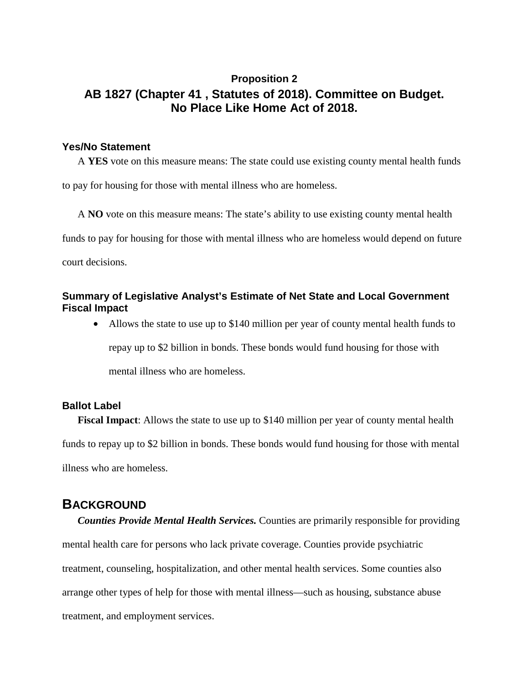# **Proposition 2 AB 1827 (Chapter 41 , Statutes of 2018). Committee on Budget. No Place Like Home Act of 2018.**

#### **Yes/No Statement**

A **YES** vote on this measure means: The state could use existing county mental health funds to pay for housing for those with mental illness who are homeless.

A **NO** vote on this measure means: The state's ability to use existing county mental health funds to pay for housing for those with mental illness who are homeless would depend on future court decisions.

### **Summary of Legislative Analyst's Estimate of Net State and Local Government Fiscal Impact**

• Allows the state to use up to \$140 million per year of county mental health funds to repay up to \$2 billion in bonds. These bonds would fund housing for those with mental illness who are homeless.

### **Ballot Label**

**Fiscal Impact**: Allows the state to use up to \$140 million per year of county mental health funds to repay up to \$2 billion in bonds. These bonds would fund housing for those with mental illness who are homeless.

## **BACKGROUND**

*Counties Provide Mental Health Services.* Counties are primarily responsible for providing mental health care for persons who lack private coverage. Counties provide psychiatric treatment, counseling, hospitalization, and other mental health services. Some counties also arrange other types of help for those with mental illness—such as housing, substance abuse treatment, and employment services.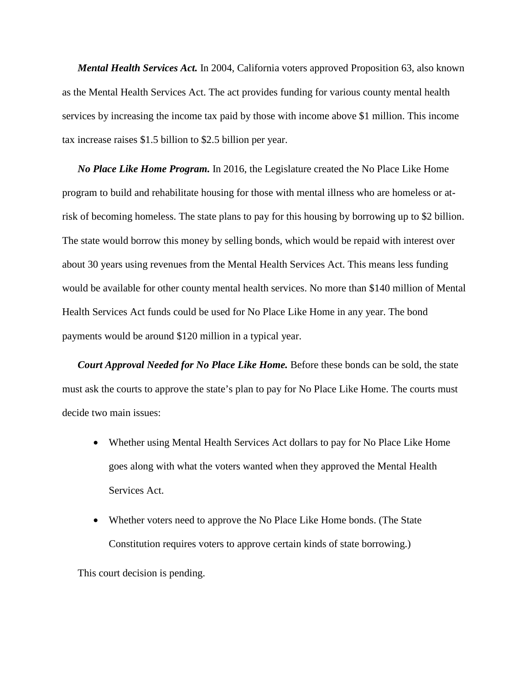*Mental Health Services Act.* In 2004, California voters approved Proposition 63, also known as the Mental Health Services Act. The act provides funding for various county mental health services by increasing the income tax paid by those with income above \$1 million. This income tax increase raises \$1.5 billion to \$2.5 billion per year.

*No Place Like Home Program.* In 2016, the Legislature created the No Place Like Home program to build and rehabilitate housing for those with mental illness who are homeless or atrisk of becoming homeless. The state plans to pay for this housing by borrowing up to \$2 billion. The state would borrow this money by selling bonds, which would be repaid with interest over about 30 years using revenues from the Mental Health Services Act. This means less funding would be available for other county mental health services. No more than \$140 million of Mental Health Services Act funds could be used for No Place Like Home in any year. The bond payments would be around \$120 million in a typical year.

*Court Approval Needed for No Place Like Home.* Before these bonds can be sold, the state must ask the courts to approve the state's plan to pay for No Place Like Home. The courts must decide two main issues:

- Whether using Mental Health Services Act dollars to pay for No Place Like Home goes along with what the voters wanted when they approved the Mental Health Services Act.
- Whether voters need to approve the No Place Like Home bonds. (The State Constitution requires voters to approve certain kinds of state borrowing.)

This court decision is pending.